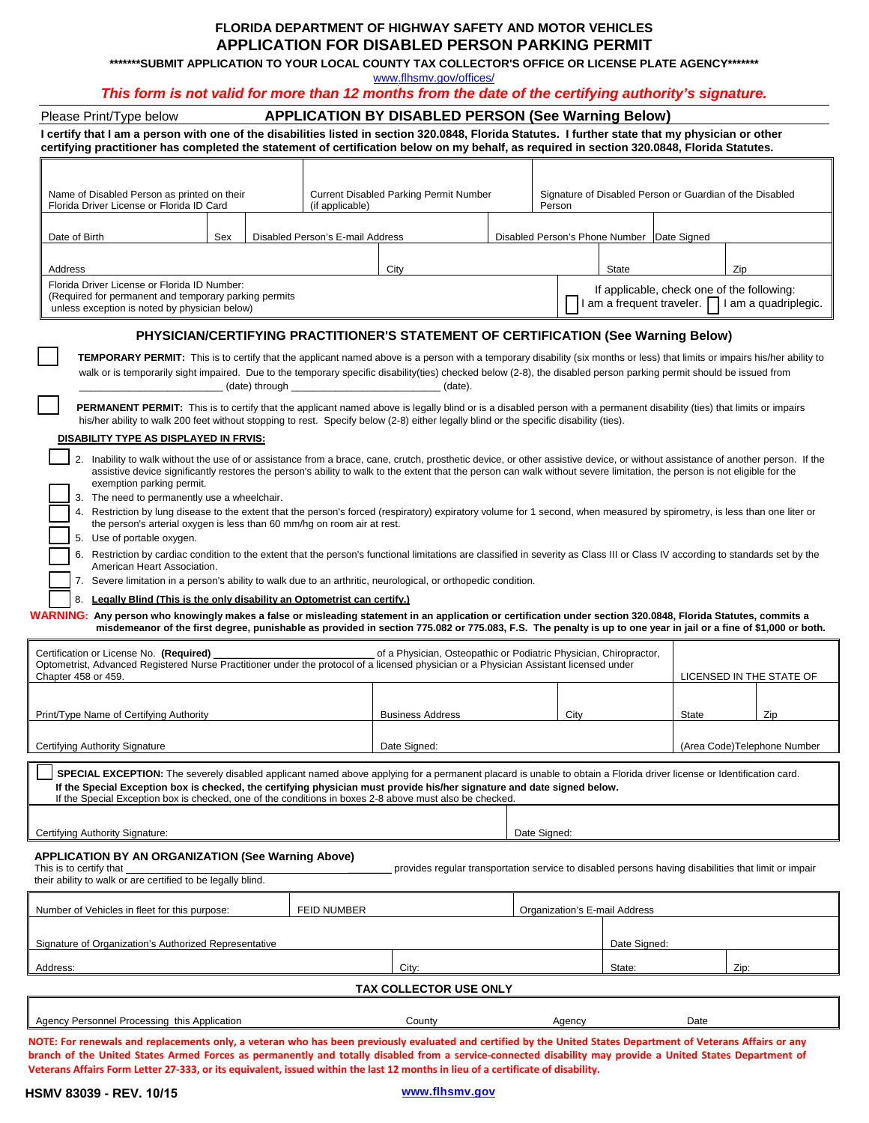# **FLORIDA DEPARTMENT OF HIGHWAY SAFETY AND MOTOR VEHICLES APPLICATION FOR DISABLED PERSON PARKING PERMIT**

**\*\*\*\*\*\*\*SUBMIT APPLICATION TO YOUR LOCAL COUNTY TAX COLLECTOR'S OFFICE OR LICENSE PLATE AGENCY\*\*\*\*\*\*\*** 

www.flhsmv.gov/offices/

## *This form is not valid for more than 12 months from the date of the certifying authority's signature.*

| <b>APPLICATION BY DISABLED PERSON (See Warning Below)</b><br>Please Print/Type below                                                                                                                                                                                                                                                                                                                                                                                                                                                                                                                                                                                                                                                                                                                                                                                                                                                                                                                                                                                                                                                                                                                                                                                                                                                                                                                                                                                                     |             |                                                                                                                                                                                                             |                 |                                                                                                      |                                                                                                |                               |                                                                    |              |       |     |                             |  |
|------------------------------------------------------------------------------------------------------------------------------------------------------------------------------------------------------------------------------------------------------------------------------------------------------------------------------------------------------------------------------------------------------------------------------------------------------------------------------------------------------------------------------------------------------------------------------------------------------------------------------------------------------------------------------------------------------------------------------------------------------------------------------------------------------------------------------------------------------------------------------------------------------------------------------------------------------------------------------------------------------------------------------------------------------------------------------------------------------------------------------------------------------------------------------------------------------------------------------------------------------------------------------------------------------------------------------------------------------------------------------------------------------------------------------------------------------------------------------------------|-------------|-------------------------------------------------------------------------------------------------------------------------------------------------------------------------------------------------------------|-----------------|------------------------------------------------------------------------------------------------------|------------------------------------------------------------------------------------------------|-------------------------------|--------------------------------------------------------------------|--------------|-------|-----|-----------------------------|--|
| I certify that I am a person with one of the disabilities listed in section 320.0848, Florida Statutes. I further state that my physician or other<br>certifying practitioner has completed the statement of certification below on my behalf, as required in section 320.0848, Florida Statutes.                                                                                                                                                                                                                                                                                                                                                                                                                                                                                                                                                                                                                                                                                                                                                                                                                                                                                                                                                                                                                                                                                                                                                                                        |             |                                                                                                                                                                                                             |                 |                                                                                                      |                                                                                                |                               |                                                                    |              |       |     |                             |  |
|                                                                                                                                                                                                                                                                                                                                                                                                                                                                                                                                                                                                                                                                                                                                                                                                                                                                                                                                                                                                                                                                                                                                                                                                                                                                                                                                                                                                                                                                                          |             |                                                                                                                                                                                                             |                 |                                                                                                      |                                                                                                |                               |                                                                    |              |       |     |                             |  |
| Name of Disabled Person as printed on their<br>Florida Driver License or Florida ID Card                                                                                                                                                                                                                                                                                                                                                                                                                                                                                                                                                                                                                                                                                                                                                                                                                                                                                                                                                                                                                                                                                                                                                                                                                                                                                                                                                                                                 |             |                                                                                                                                                                                                             | (if applicable) | <b>Current Disabled Parking Permit Number</b>                                                        |                                                                                                |                               | Signature of Disabled Person or Guardian of the Disabled<br>Person |              |       |     |                             |  |
| Date of Birth<br>Sex<br>Disabled Person's E-mail Address                                                                                                                                                                                                                                                                                                                                                                                                                                                                                                                                                                                                                                                                                                                                                                                                                                                                                                                                                                                                                                                                                                                                                                                                                                                                                                                                                                                                                                 |             |                                                                                                                                                                                                             |                 |                                                                                                      |                                                                                                |                               | Disabled Person's Phone Number Date Signed                         |              |       |     |                             |  |
| Address                                                                                                                                                                                                                                                                                                                                                                                                                                                                                                                                                                                                                                                                                                                                                                                                                                                                                                                                                                                                                                                                                                                                                                                                                                                                                                                                                                                                                                                                                  |             |                                                                                                                                                                                                             |                 | City                                                                                                 |                                                                                                |                               |                                                                    | <b>State</b> |       | Zip |                             |  |
| Florida Driver License or Florida ID Number:<br>(Required for permanent and temporary parking permits)<br>unless exception is noted by physician below)                                                                                                                                                                                                                                                                                                                                                                                                                                                                                                                                                                                                                                                                                                                                                                                                                                                                                                                                                                                                                                                                                                                                                                                                                                                                                                                                  |             |                                                                                                                                                                                                             |                 |                                                                                                      | If applicable, check one of the following:<br>I am a frequent traveler.   I am a quadriplegic. |                               |                                                                    |              |       |     |                             |  |
| PHYSICIAN/CERTIFYING PRACTITIONER'S STATEMENT OF CERTIFICATION (See Warning Below)                                                                                                                                                                                                                                                                                                                                                                                                                                                                                                                                                                                                                                                                                                                                                                                                                                                                                                                                                                                                                                                                                                                                                                                                                                                                                                                                                                                                       |             |                                                                                                                                                                                                             |                 |                                                                                                      |                                                                                                |                               |                                                                    |              |       |     |                             |  |
| <b>TEMPORARY PERMIT:</b> This is to certify that the applicant named above is a person with a temporary disability (six months or less) that limits or impairs his/her ability to<br>walk or is temporarily sight impaired. Due to the temporary specific disability(ties) checked below (2-8), the disabled person parking permit should be issued from<br>(date) through<br>(date).<br>PERMANENT PERMIT: This is to certify that the applicant named above is legally blind or is a disabled person with a permanent disability (ties) that limits or impairs                                                                                                                                                                                                                                                                                                                                                                                                                                                                                                                                                                                                                                                                                                                                                                                                                                                                                                                          |             |                                                                                                                                                                                                             |                 |                                                                                                      |                                                                                                |                               |                                                                    |              |       |     |                             |  |
| his/her ability to walk 200 feet without stopping to rest. Specify below (2-8) either legally blind or the specific disability (ties).<br>DISABILITY TYPE AS DISPLAYED IN FRVIS:                                                                                                                                                                                                                                                                                                                                                                                                                                                                                                                                                                                                                                                                                                                                                                                                                                                                                                                                                                                                                                                                                                                                                                                                                                                                                                         |             |                                                                                                                                                                                                             |                 |                                                                                                      |                                                                                                |                               |                                                                    |              |       |     |                             |  |
| 2. Inability to walk without the use of or assistance from a brace, cane, crutch, prosthetic device, or other assistive device, or without assistance of another person. If the<br>assistive device significantly restores the person's ability to walk to the extent that the person can walk without severe limitation, the person is not eligible for the<br>exemption parking permit.<br>3. The need to permanently use a wheelchair.<br>4. Restriction by lung disease to the extent that the person's forced (respiratory) expiratory volume for 1 second, when measured by spirometry, is less than one liter or<br>the person's arterial oxygen is less than 60 mm/hg on room air at rest.<br>5. Use of portable oxygen.<br>6. Restriction by cardiac condition to the extent that the person's functional limitations are classified in severity as Class III or Class IV according to standards set by the<br>American Heart Association.<br>7. Severe limitation in a person's ability to walk due to an arthritic, neurological, or orthopedic condition.<br>8. Legally Blind (This is the only disability an Optometrist can certify.)<br>WARNING: Any person who knowingly makes a false or misleading statement in an application or certification under section 320.0848, Florida Statutes, commits a<br>misdemeanor of the first degree, punishable as provided in section 775.082 or 775.083, F.S. The penalty is up to one year in jail or a fine of \$1,000 or both. |             |                                                                                                                                                                                                             |                 |                                                                                                      |                                                                                                |                               |                                                                    |              |       |     |                             |  |
| Certification or License No. (Required)<br>Chapter 458 or 459.                                                                                                                                                                                                                                                                                                                                                                                                                                                                                                                                                                                                                                                                                                                                                                                                                                                                                                                                                                                                                                                                                                                                                                                                                                                                                                                                                                                                                           |             | of a Physician, Osteopathic or Podiatric Physician, Chiropractor,<br>Optometrist, Advanced Registered Nurse Practitioner under the protocol of a licensed physician or a Physician Assistant licensed under |                 |                                                                                                      |                                                                                                |                               | LICENSED IN THE STATE OF                                           |              |       |     |                             |  |
| Print/Type Name of Certifying Authority                                                                                                                                                                                                                                                                                                                                                                                                                                                                                                                                                                                                                                                                                                                                                                                                                                                                                                                                                                                                                                                                                                                                                                                                                                                                                                                                                                                                                                                  |             |                                                                                                                                                                                                             |                 | <b>Business Address</b>                                                                              |                                                                                                |                               | City                                                               |              | State |     | Zip                         |  |
| Certifying Authority Signature<br>Date Signed:                                                                                                                                                                                                                                                                                                                                                                                                                                                                                                                                                                                                                                                                                                                                                                                                                                                                                                                                                                                                                                                                                                                                                                                                                                                                                                                                                                                                                                           |             |                                                                                                                                                                                                             |                 |                                                                                                      |                                                                                                |                               |                                                                    |              |       |     | (Area Code)Telephone Number |  |
| SPECIAL EXCEPTION: The severely disabled applicant named above applying for a permanent placard is unable to obtain a Florida driver license or Identification card.<br>If the Special Exception box is checked, the certifying physician must provide his/her signature and date signed below.<br>If the Special Exception box is checked, one of the conditions in boxes 2-8 above must also be checked.                                                                                                                                                                                                                                                                                                                                                                                                                                                                                                                                                                                                                                                                                                                                                                                                                                                                                                                                                                                                                                                                               |             |                                                                                                                                                                                                             |                 |                                                                                                      |                                                                                                |                               |                                                                    |              |       |     |                             |  |
| Certifying Authority Signature:                                                                                                                                                                                                                                                                                                                                                                                                                                                                                                                                                                                                                                                                                                                                                                                                                                                                                                                                                                                                                                                                                                                                                                                                                                                                                                                                                                                                                                                          |             |                                                                                                                                                                                                             |                 |                                                                                                      |                                                                                                | Date Signed:                  |                                                                    |              |       |     |                             |  |
| APPLICATION BY AN ORGANIZATION (See Warning Above)<br>This is to certify that<br>their ability to walk or are certified to be legally blind.                                                                                                                                                                                                                                                                                                                                                                                                                                                                                                                                                                                                                                                                                                                                                                                                                                                                                                                                                                                                                                                                                                                                                                                                                                                                                                                                             |             |                                                                                                                                                                                                             |                 | provides regular transportation service to disabled persons having disabilities that limit or impair |                                                                                                |                               |                                                                    |              |       |     |                             |  |
| Number of Vehicles in fleet for this purpose:                                                                                                                                                                                                                                                                                                                                                                                                                                                                                                                                                                                                                                                                                                                                                                                                                                                                                                                                                                                                                                                                                                                                                                                                                                                                                                                                                                                                                                            | FEID NUMBER |                                                                                                                                                                                                             |                 |                                                                                                      |                                                                                                | Organization's E-mail Address |                                                                    |              |       |     |                             |  |
| Signature of Organization's Authorized Representative                                                                                                                                                                                                                                                                                                                                                                                                                                                                                                                                                                                                                                                                                                                                                                                                                                                                                                                                                                                                                                                                                                                                                                                                                                                                                                                                                                                                                                    |             |                                                                                                                                                                                                             | Date Signed:    |                                                                                                      |                                                                                                |                               |                                                                    |              |       |     |                             |  |
| Address:                                                                                                                                                                                                                                                                                                                                                                                                                                                                                                                                                                                                                                                                                                                                                                                                                                                                                                                                                                                                                                                                                                                                                                                                                                                                                                                                                                                                                                                                                 |             |                                                                                                                                                                                                             |                 | City:                                                                                                |                                                                                                |                               |                                                                    | State:       | Zip:  |     |                             |  |
|                                                                                                                                                                                                                                                                                                                                                                                                                                                                                                                                                                                                                                                                                                                                                                                                                                                                                                                                                                                                                                                                                                                                                                                                                                                                                                                                                                                                                                                                                          |             |                                                                                                                                                                                                             |                 | TAX COLLECTOR USE ONLY                                                                               |                                                                                                |                               |                                                                    |              |       |     |                             |  |
| Agency Personnel Processing this Application                                                                                                                                                                                                                                                                                                                                                                                                                                                                                                                                                                                                                                                                                                                                                                                                                                                                                                                                                                                                                                                                                                                                                                                                                                                                                                                                                                                                                                             |             |                                                                                                                                                                                                             |                 | County                                                                                               |                                                                                                |                               | Agency                                                             |              | Date  |     |                             |  |
|                                                                                                                                                                                                                                                                                                                                                                                                                                                                                                                                                                                                                                                                                                                                                                                                                                                                                                                                                                                                                                                                                                                                                                                                                                                                                                                                                                                                                                                                                          |             |                                                                                                                                                                                                             |                 |                                                                                                      |                                                                                                |                               |                                                                    |              |       |     |                             |  |

**NOTE: For renewals and replacements only, a veteran who has been previously evaluated and certified by the United States Department of Veterans Affairs or any branch of the United States Armed Forces as permanently and totally disabled from a service-connected disability may provide a United States Department of Veterans Affairs Form Letter 27-333, or its equivalent, issued within the last 12 months in lieu of a certificate of disability.**